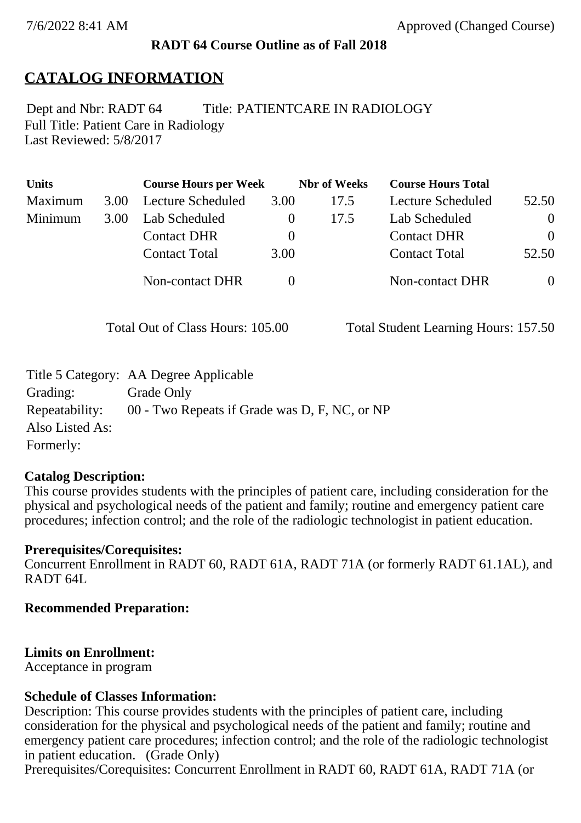#### **RADT 64 Course Outline as of Fall 2018**

# **CATALOG INFORMATION**

Full Title: Patient Care in Radiology Last Reviewed: 5/8/2017 Dept and Nbr: RADT 64 Title: PATIENTCARE IN RADIOLOGY

| <b>Units</b> |      | <b>Course Hours per Week</b> |          | <b>Nbr</b> of Weeks | <b>Course Hours Total</b> |          |
|--------------|------|------------------------------|----------|---------------------|---------------------------|----------|
| Maximum      | 3.00 | Lecture Scheduled            | 3.00     | 17.5                | Lecture Scheduled         | 52.50    |
| Minimum      | 3.00 | Lab Scheduled                |          | 17.5                | Lab Scheduled             | $\theta$ |
|              |      | <b>Contact DHR</b>           | $\theta$ |                     | <b>Contact DHR</b>        | $\Omega$ |
|              |      | <b>Contact Total</b>         | 3.00     |                     | <b>Contact Total</b>      | 52.50    |
|              |      | Non-contact DHR              |          |                     | <b>Non-contact DHR</b>    | $\theta$ |

Total Out of Class Hours: 105.00 Total Student Learning Hours: 157.50

|                 | Title 5 Category: AA Degree Applicable        |
|-----------------|-----------------------------------------------|
| Grading:        | Grade Only                                    |
| Repeatability:  | 00 - Two Repeats if Grade was D, F, NC, or NP |
| Also Listed As: |                                               |
| Formerly:       |                                               |

#### **Catalog Description:**

This course provides students with the principles of patient care, including consideration for the physical and psychological needs of the patient and family; routine and emergency patient care procedures; infection control; and the role of the radiologic technologist in patient education.

#### **Prerequisites/Corequisites:**

Concurrent Enrollment in RADT 60, RADT 61A, RADT 71A (or formerly RADT 61.1AL), and RADT 64L

#### **Recommended Preparation:**

## **Limits on Enrollment:**

Acceptance in program

#### **Schedule of Classes Information:**

Description: This course provides students with the principles of patient care, including consideration for the physical and psychological needs of the patient and family; routine and emergency patient care procedures; infection control; and the role of the radiologic technologist in patient education. (Grade Only)

Prerequisites/Corequisites: Concurrent Enrollment in RADT 60, RADT 61A, RADT 71A (or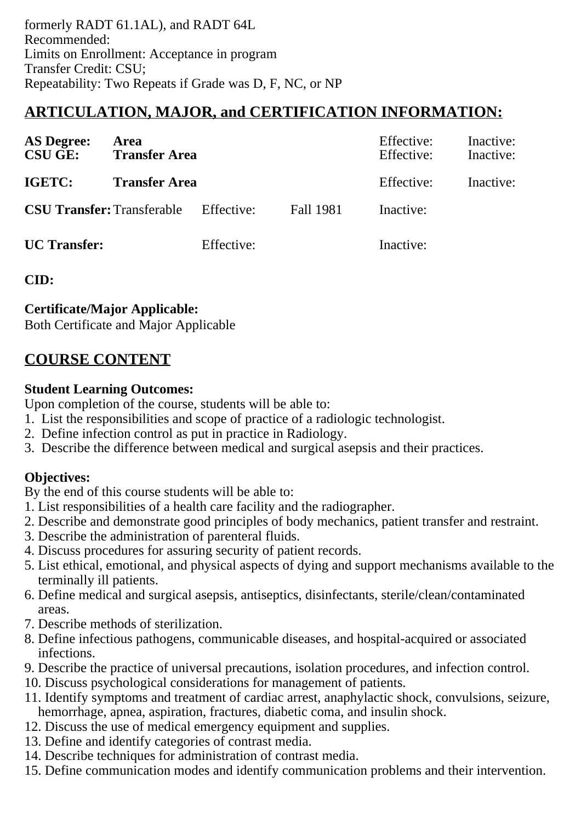formerly RADT 61.1AL), and RADT 64L Recommended: Limits on Enrollment: Acceptance in program Transfer Credit: CSU; Repeatability: Two Repeats if Grade was D, F, NC, or NP

# **ARTICULATION, MAJOR, and CERTIFICATION INFORMATION:**

| <b>AS Degree:</b><br><b>CSU GE:</b> | Area<br><b>Transfer Area</b>                 |            | Effective:<br>Effective: | Inactive:<br>Inactive:<br>Inactive: |  |
|-------------------------------------|----------------------------------------------|------------|--------------------------|-------------------------------------|--|
| IGETC:                              | <b>Transfer Area</b>                         |            | Effective:               |                                     |  |
|                                     | <b>CSU Transfer:</b> Transferable Effective: |            | <b>Fall 1981</b>         | Inactive:                           |  |
| <b>UC</b> Transfer:                 |                                              | Effective: |                          | Inactive:                           |  |

**CID:**

## **Certificate/Major Applicable:**

[Both Certificate and Major Applicable](SR_ClassCheck.aspx?CourseKey=RADT64)

# **COURSE CONTENT**

## **Student Learning Outcomes:**

Upon completion of the course, students will be able to:

- 1. List the responsibilities and scope of practice of a radiologic technologist.
- 2. Define infection control as put in practice in Radiology.
- 3. Describe the difference between medical and surgical asepsis and their practices.

## **Objectives:**

By the end of this course students will be able to:

- 1. List responsibilities of a health care facility and the radiographer.
- 2. Describe and demonstrate good principles of body mechanics, patient transfer and restraint.
- 3. Describe the administration of parenteral fluids.
- 4. Discuss procedures for assuring security of patient records.
- 5. List ethical, emotional, and physical aspects of dying and support mechanisms available to the terminally ill patients.
- 6. Define medical and surgical asepsis, antiseptics, disinfectants, sterile/clean/contaminated areas.
- 7. Describe methods of sterilization.
- 8. Define infectious pathogens, communicable diseases, and hospital-acquired or associated infections.
- 9. Describe the practice of universal precautions, isolation procedures, and infection control.
- 10. Discuss psychological considerations for management of patients.
- 11. Identify symptoms and treatment of cardiac arrest, anaphylactic shock, convulsions, seizure, hemorrhage, apnea, aspiration, fractures, diabetic coma, and insulin shock.
- 12. Discuss the use of medical emergency equipment and supplies.
- 13. Define and identify categories of contrast media.
- 14. Describe techniques for administration of contrast media.
- 15. Define communication modes and identify communication problems and their intervention.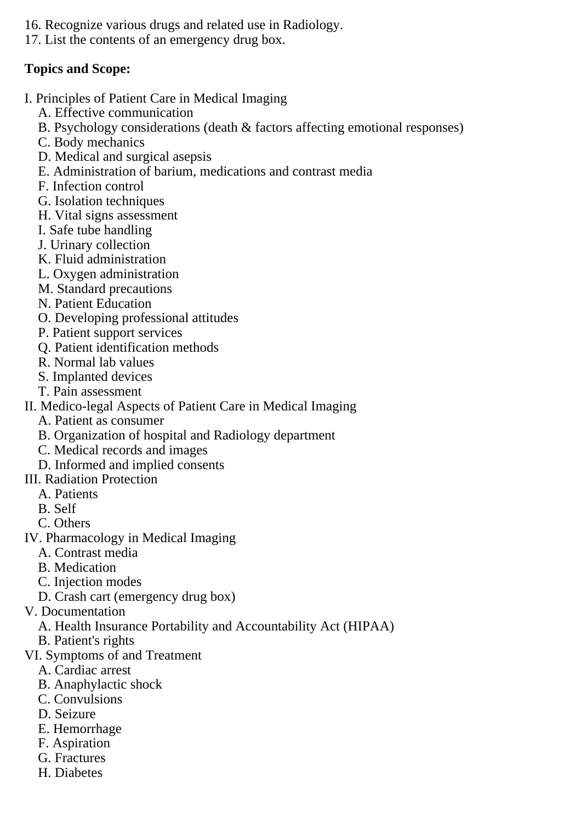- 16. Recognize various drugs and related use in Radiology.
- 17. List the contents of an emergency drug box.

## **Topics and Scope:**

- I. Principles of Patient Care in Medical Imaging
	- A. Effective communication
	- B. Psychology considerations (death & factors affecting emotional responses)
	- C. Body mechanics
	- D. Medical and surgical asepsis
	- E. Administration of barium, medications and contrast media
	- F. Infection control
	- G. Isolation techniques
	- H. Vital signs assessment
	- I. Safe tube handling
	- J. Urinary collection
	- K. Fluid administration
	- L. Oxygen administration
	- M. Standard precautions
	- N. Patient Education
	- O. Developing professional attitudes
	- P. Patient support services
	- Q. Patient identification methods
	- R. Normal lab values
	- S. Implanted devices
	- T. Pain assessment
- II. Medico-legal Aspects of Patient Care in Medical Imaging
	- A. Patient as consumer
	- B. Organization of hospital and Radiology department
	- C. Medical records and images
	- D. Informed and implied consents
- III. Radiation Protection
	- A. Patients
	- B. Self
	- C. Others
- IV. Pharmacology in Medical Imaging
	- A. Contrast media
	- B. Medication
	- C. Injection modes
	- D. Crash cart (emergency drug box)
- V. Documentation
	- A. Health Insurance Portability and Accountability Act (HIPAA)
	- B. Patient's rights
- VI. Symptoms of and Treatment
	- A. Cardiac arrest
	- B. Anaphylactic shock
	- C. Convulsions
	- D. Seizure
	- E. Hemorrhage
	- F. Aspiration
	- G. Fractures
	- H. Diabetes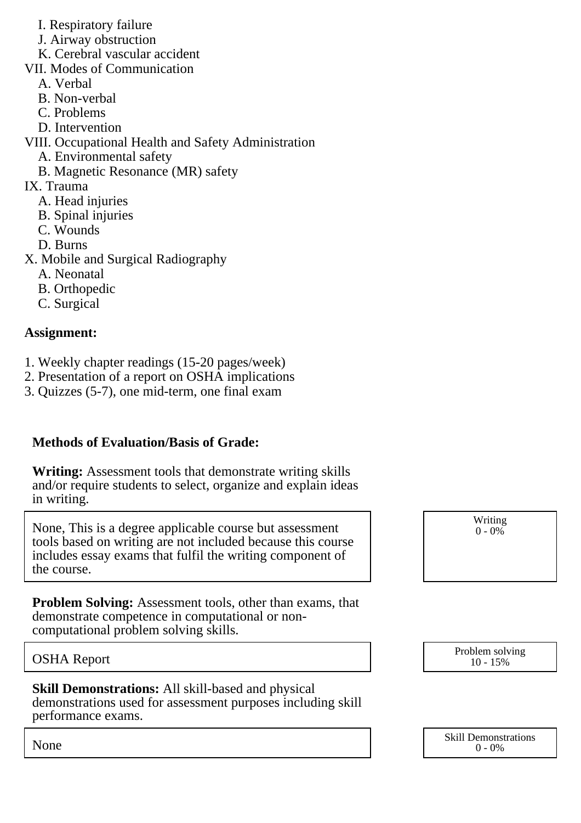- I. Respiratory failure
- J. Airway obstruction
- K. Cerebral vascular accident
- VII. Modes of Communication
	- A. Verbal
	- B. Non-verbal
	- C. Problems
	- D. Intervention
- VIII. Occupational Health and Safety Administration
	- A. Environmental safety
	- B. Magnetic Resonance (MR) safety
- IX. Trauma
	- A. Head injuries
	- B. Spinal injuries
	- C. Wounds
	- D. Burns
- X. Mobile and Surgical Radiography
	- A. Neonatal
	- B. Orthopedic
	- C. Surgical

# **Assignment:**

- 1. Weekly chapter readings (15-20 pages/week)
- 2. Presentation of a report on OSHA implications
- 3. Quizzes (5-7), one mid-term, one final exam

# **Methods of Evaluation/Basis of Grade:**

**Writing:** Assessment tools that demonstrate writing skills and/or require students to select, organize and explain ideas in writing.

None, This is a degree applicable course but assessment tools based on writing are not included because this course includes essay exams that fulfil the writing component of the course.

**Problem Solving:** Assessment tools, other than exams, that demonstrate competence in computational or noncomputational problem solving skills.

**Skill Demonstrations:** All skill-based and physical demonstrations used for assessment purposes including skill performance exams.

Writing  $0 - 0\%$ 

OSHA Report Problem solving and the Problem solving Problem solving and the Problem solving in the Problem solving  $10 - 15\%$ 10 - 15%

None Skill Demonstrations<br>  $\begin{array}{c} \text{Skill,} \\ 0 \text{ - } 0\% \end{array}$  $0 - 0\%$